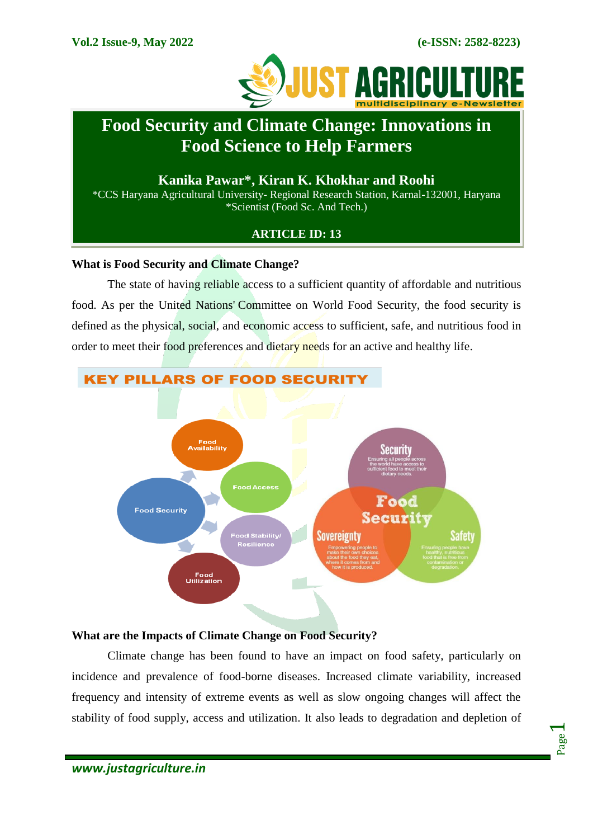Page  $\overline{\phantom{0}}$ 



# **Food Security and Climate Change: Innovations in Food Science to Help Farmers**

### **Kanika Pawar\*, Kiran K. Khokhar and Roohi**

\*CCS Haryana Agricultural University- Regional Research Station, Karnal-132001, Haryana \*Scientist (Food Sc. And Tech.)

### **ARTICLE ID: 13**

#### **What is Food Security and Climate Change?**

The state of having reliable access to a sufficient quantity of affordable and nutritious food. As per the United Nations' Committee on World Food Security, the food security is defined as the physical, social, and economic access to sufficient, safe, and nutritious food in order to meet their food preferences and dietary needs for an active and healthy life.



## **KEY PILLARS OF FOOD SECURITY**

### **What are the Impacts of Climate Change on Food Security?**

Climate change has been found to have an impact on food safety, particularly on incidence and prevalence of food-borne diseases. Increased climate variability, increased frequency and intensity of extreme events as well as slow ongoing changes will affect the stability of food supply, access and utilization. It also leads to degradation and depletion of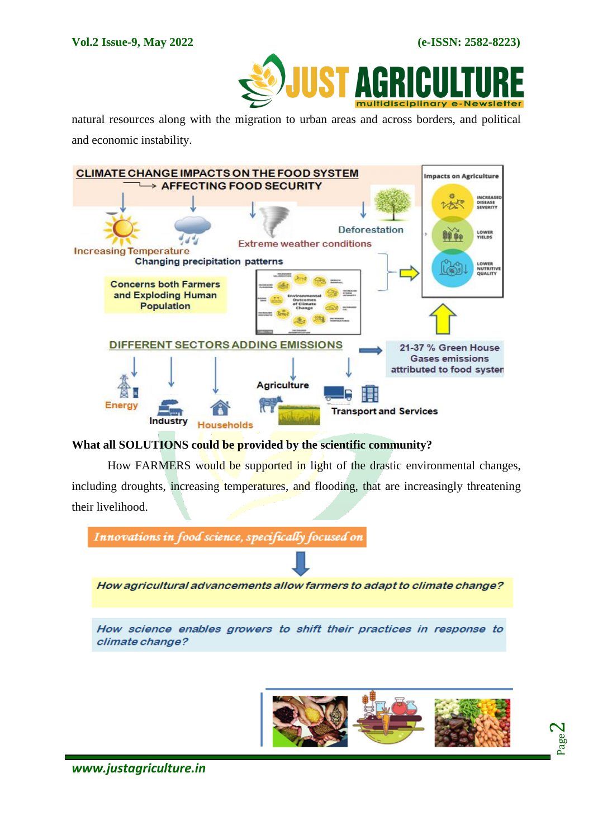Page  $\boldsymbol{\sim}$ 



natural resources along with the migration to urban areas and across borders, and political and economic instability.



**What all SOLUTIONS could be provided by the scientific community?**

How FARMERS would be supported in light of the drastic environmental changes, including droughts, increasing temperatures, and flooding, that are increasingly threatening their livelihood.

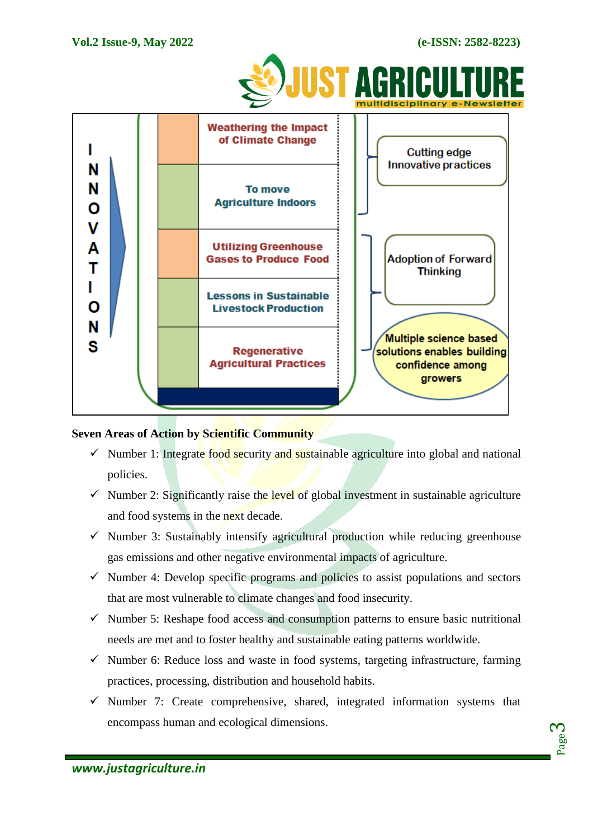

### **Seven Areas of Action by Scientific Community**

- $\checkmark$  Number 1: Integrate food security and sustainable agriculture into global and national policies.
- $\checkmark$  Number 2: Significantly raise the level of global investment in sustainable agriculture and food systems in the next decade.
- $\checkmark$  Number 3: Sustainably intensify agricultural production while reducing greenhouse gas emissions and other negative environmental impacts of agriculture.
- $\checkmark$  Number 4: Develop specific programs and policies to assist populations and sectors that are most vulnerable to climate changes and food insecurity.
- $\checkmark$  Number 5: Reshape food access and consumption patterns to ensure basic nutritional needs are met and to foster healthy and sustainable eating patterns worldwide.
- $\checkmark$  Number 6: Reduce loss and waste in food systems, targeting infrastructure, farming practices, processing, distribution and household habits.
- $\checkmark$  Number 7: Create comprehensive, shared, integrated information systems that encompass human and ecological dimensions.

Page က $\,$